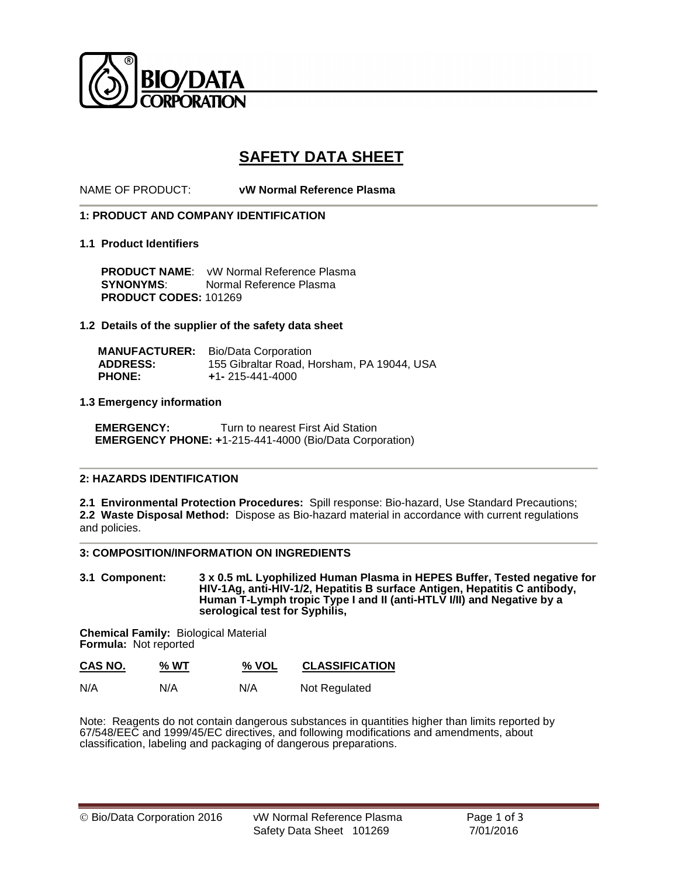

# **SAFETY DATA SHEET**

NAME OF PRODUCT: **vW Normal Reference Plasma** 

# **1: PRODUCT AND COMPANY IDENTIFICATION**

## **1.1 Product Identifiers**

 **PRODUCT NAME**: vW Normal Reference Plasma **SYNONYMS:** Normal Reference Plasma **PRODUCT CODES:** 101269

## **1.2 Details of the supplier of the safety data sheet**

|                 | <b>MANUFACTURER:</b> Bio/Data Corporation  |
|-----------------|--------------------------------------------|
| <b>ADDRESS:</b> | 155 Gibraltar Road, Horsham, PA 19044, USA |
| <b>PHONE:</b>   | $+1 - 215 - 441 - 4000$                    |

## **1.3 Emergency information**

**EMERGENCY:** Turn to nearest First Aid Station  **EMERGENCY PHONE: +**1-215-441-4000 (Bio/Data Corporation)

## **2: HAZARDS IDENTIFICATION**

**2.1 Environmental Protection Procedures:** Spill response: Bio-hazard, Use Standard Precautions; **2.2 Waste Disposal Method:** Dispose as Bio-hazard material in accordance with current regulations and policies.

## **3: COMPOSITION/INFORMATION ON INGREDIENTS**

**3.1 Component: 3 x 0.5 mL Lyophilized Human Plasma in HEPES Buffer, Tested negative for HIV-1Ag, anti-HIV-1/2, Hepatitis B surface Antigen, Hepatitis C antibody, Human T-Lymph tropic Type I and II (anti-HTLV I/II) and Negative by a serological test for Syphilis,** 

**Chemical Family:** Biological Material **Formula:** Not reported

| CAS NO. | % WT | % VOL | <b>CLASSIFICATION</b> |
|---------|------|-------|-----------------------|
| N/A     | N/A  | N/A   | Not Regulated         |

Note: Reagents do not contain dangerous substances in quantities higher than limits reported by 67/548/EEC and 1999/45/EC directives, and following modifications and amendments, about classification, labeling and packaging of dangerous preparations.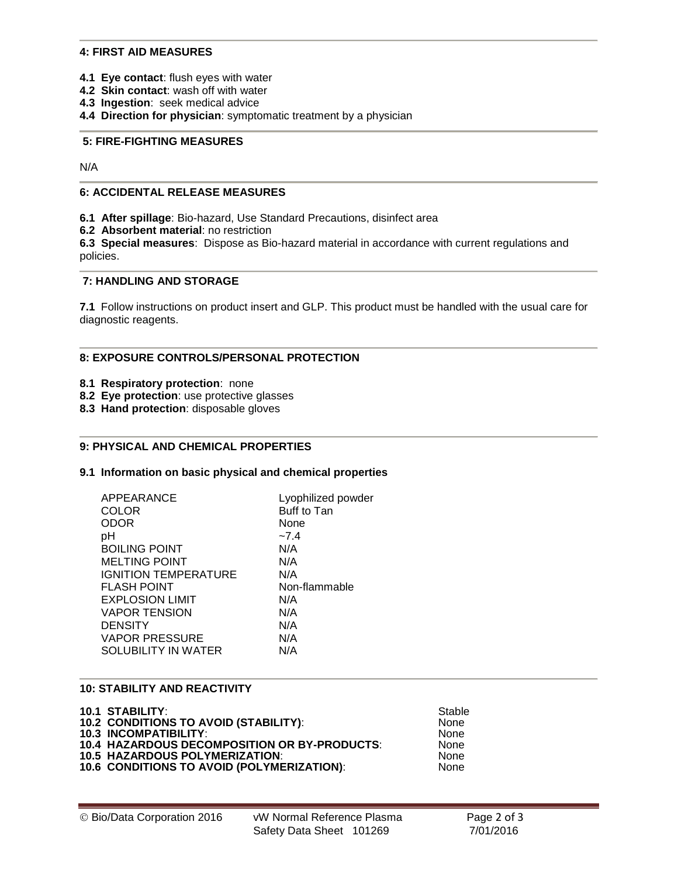## **4: FIRST AID MEASURES**

- **4.1 Eye contact**: flush eyes with water
- **4.2 Skin contact**: wash off with water
- **4.3 Ingestion**: seek medical advice
- **4.4 Direction for physician**: symptomatic treatment by a physician

## **5: FIRE-FIGHTING MEASURES**

N/A

# **6: ACCIDENTAL RELEASE MEASURES**

**6.1 After spillage**: Bio-hazard, Use Standard Precautions, disinfect area

**6.2 Absorbent material**: no restriction

**6.3 Special measures**: Dispose as Bio-hazard material in accordance with current regulations and policies.

# **7: HANDLING AND STORAGE**

**7.1** Follow instructions on product insert and GLP. This product must be handled with the usual care for diagnostic reagents.

#### **8: EXPOSURE CONTROLS/PERSONAL PROTECTION**

- **8.1 Respiratory protection**: none
- **8.2 Eye protection**: use protective glasses
- **8.3 Hand protection**: disposable gloves

# **9: PHYSICAL AND CHEMICAL PROPERTIES**

#### **9.1 Information on basic physical and chemical properties**

| APPEARANCE                  | Lyophilized powder |
|-----------------------------|--------------------|
| COLOR                       | Buff to Tan        |
| ODOR                        | None               |
| рH                          | $-7.4$             |
| <b>BOILING POINT</b>        | N/A                |
| <b>MELTING POINT</b>        | N/A                |
| <b>IGNITION TEMPERATURE</b> | N/A                |
| <b>FLASH POINT</b>          | Non-flammable      |
| <b>EXPLOSION LIMIT</b>      | N/A                |
| <b>VAPOR TENSION</b>        | N/A                |
| <b>DENSITY</b>              | N/A                |
| <b>VAPOR PRESSURE</b>       | N/A                |
| SOLUBILITY IN WATER         | N/A                |
|                             |                    |

## **10: STABILITY AND REACTIVITY**